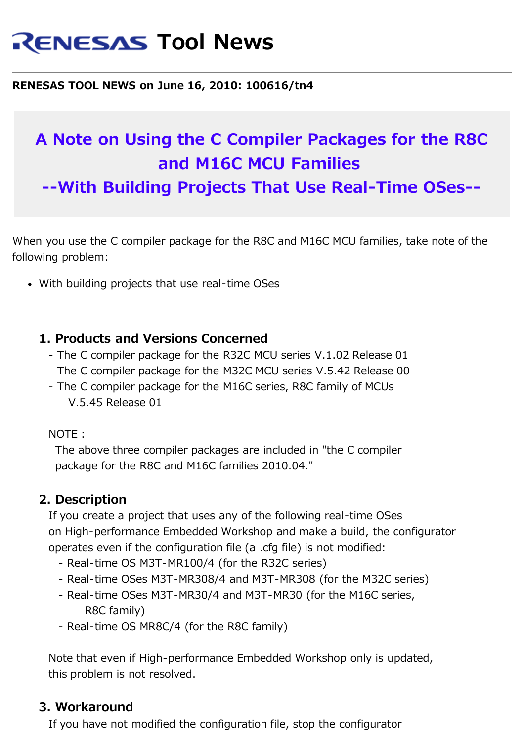# **RENESAS Tool News**

#### **RENESAS TOOL NEWS on June 16, 2010: 100616/tn4**

# **A Note on Using the C Compiler Packages for the R8C and M16C MCU Families**

**--With Building Projects That Use Real-Time OSes--**

When you use the C compiler package for the R8C and M16C MCU families, take note of the following problem:

With building projects that use real-time OSes

#### **1. Products and Versions Concerned**

- The C compiler package for the R32C MCU series V.1.02 Release 01
- The C compiler package for the M32C MCU series V.5.42 Release 00
- The C compiler package for the M16C series, R8C family of MCUs V.5.45 Release 01

NOTE:

 The above three compiler packages are included in "the C compiler package for the R8C and M16C families 2010.04."

#### **2. Description**

 If you create a project that uses any of the following real-time OSes on High-performance Embedded Workshop and make a build, the configurator operates even if the configuration file (a .cfg file) is not modified:

- Real-time OS M3T-MR100/4 (for the R32C series)
- Real-time OSes M3T-MR308/4 and M3T-MR308 (for the M32C series)
- Real-time OSes M3T-MR30/4 and M3T-MR30 (for the M16C series, R8C family)
- Real-time OS MR8C/4 (for the R8C family)

 Note that even if High-performance Embedded Workshop only is updated, this problem is not resolved.

#### **3. Workaround**

If you have not modified the configuration file, stop the configurator